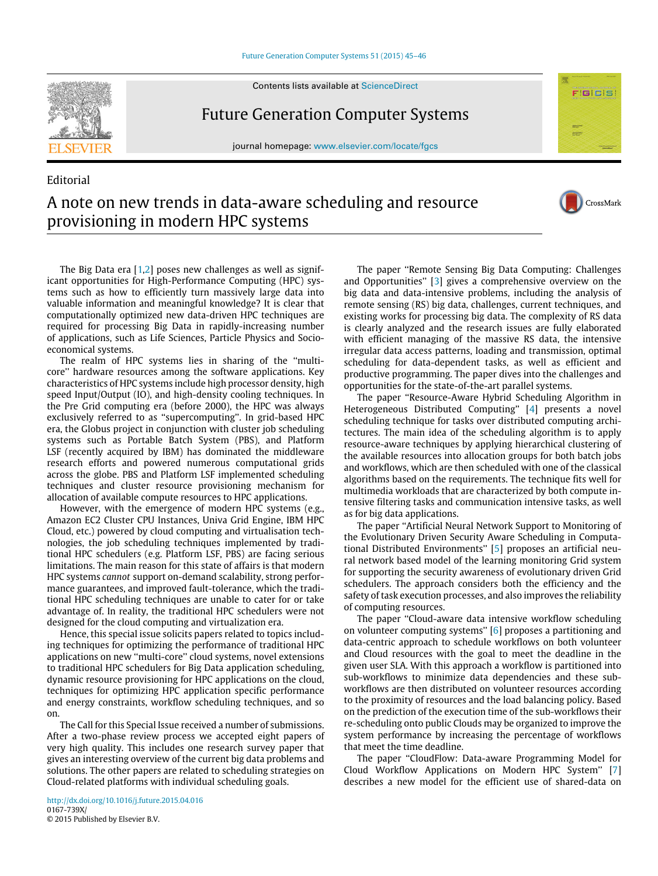## [Future Generation Computer Systems 51 \(2015\) 45–46](http://dx.doi.org/10.1016/j.future.2015.04.016)





Editorial

Future Generation Computer Systems

journal homepage: [www.elsevier.com/locate/fgcs](http://www.elsevier.com/locate/fgcs)



CrossMark

## A note on new trends in data-aware scheduling and resource provisioning in modern HPC systems

The Big Data era [\[1](#page-1-0)[,2\]](#page-1-1) poses new challenges as well as significant opportunities for High-Performance Computing (HPC) systems such as how to efficiently turn massively large data into valuable information and meaningful knowledge? It is clear that computationally optimized new data-driven HPC techniques are required for processing Big Data in rapidly-increasing number of applications, such as Life Sciences, Particle Physics and Socioeconomical systems.

The realm of HPC systems lies in sharing of the ''multicore'' hardware resources among the software applications. Key characteristics of HPC systems include high processor density, high speed Input/Output (IO), and high-density cooling techniques. In the Pre Grid computing era (before 2000), the HPC was always exclusively referred to as ''supercomputing''. In grid-based HPC era, the Globus project in conjunction with cluster job scheduling systems such as Portable Batch System (PBS), and Platform LSF (recently acquired by IBM) has dominated the middleware research efforts and powered numerous computational grids across the globe. PBS and Platform LSF implemented scheduling techniques and cluster resource provisioning mechanism for allocation of available compute resources to HPC applications.

However, with the emergence of modern HPC systems (e.g., Amazon EC2 Cluster CPU Instances, Univa Grid Engine, IBM HPC Cloud, etc.) powered by cloud computing and virtualisation technologies, the job scheduling techniques implemented by traditional HPC schedulers (e.g. Platform LSF, PBS) are facing serious limitations. The main reason for this state of affairs is that modern HPC systems *cannot* support on-demand scalability, strong performance guarantees, and improved fault-tolerance, which the traditional HPC scheduling techniques are unable to cater for or take advantage of. In reality, the traditional HPC schedulers were not designed for the cloud computing and virtualization era.

Hence, this special issue solicits papers related to topics including techniques for optimizing the performance of traditional HPC applications on new ''multi-core'' cloud systems, novel extensions to traditional HPC schedulers for Big Data application scheduling, dynamic resource provisioning for HPC applications on the cloud, techniques for optimizing HPC application specific performance and energy constraints, workflow scheduling techniques, and so on.

The Call for this Special Issue received a number of submissions. After a two-phase review process we accepted eight papers of very high quality. This includes one research survey paper that gives an interesting overview of the current big data problems and solutions. The other papers are related to scheduling strategies on Cloud-related platforms with individual scheduling goals.

The paper ''Remote Sensing Big Data Computing: Challenges and Opportunities'' [\[3\]](#page-1-2) gives a comprehensive overview on the big data and data-intensive problems, including the analysis of remote sensing (RS) big data, challenges, current techniques, and existing works for processing big data. The complexity of RS data is clearly analyzed and the research issues are fully elaborated with efficient managing of the massive RS data, the intensive irregular data access patterns, loading and transmission, optimal scheduling for data-dependent tasks, as well as efficient and productive programming. The paper dives into the challenges and opportunities for the state-of-the-art parallel systems.

The paper ''Resource-Aware Hybrid Scheduling Algorithm in Heterogeneous Distributed Computing'' [\[4\]](#page-1-3) presents a novel scheduling technique for tasks over distributed computing architectures. The main idea of the scheduling algorithm is to apply resource-aware techniques by applying hierarchical clustering of the available resources into allocation groups for both batch jobs and workflows, which are then scheduled with one of the classical algorithms based on the requirements. The technique fits well for multimedia workloads that are characterized by both compute intensive filtering tasks and communication intensive tasks, as well as for big data applications.

The paper ''Artificial Neural Network Support to Monitoring of the Evolutionary Driven Security Aware Scheduling in Computational Distributed Environments'' [\[5\]](#page-1-4) proposes an artificial neural network based model of the learning monitoring Grid system for supporting the security awareness of evolutionary driven Grid schedulers. The approach considers both the efficiency and the safety of task execution processes, and also improves the reliability of computing resources.

The paper ''Cloud-aware data intensive workflow scheduling on volunteer computing systems'' [\[6\]](#page-1-5) proposes a partitioning and data-centric approach to schedule workflows on both volunteer and Cloud resources with the goal to meet the deadline in the given user SLA. With this approach a workflow is partitioned into sub-workflows to minimize data dependencies and these subworkflows are then distributed on volunteer resources according to the proximity of resources and the load balancing policy. Based on the prediction of the execution time of the sub-workflows their re-scheduling onto public Clouds may be organized to improve the system performance by increasing the percentage of workflows that meet the time deadline.

The paper ''CloudFlow: Data-aware Programming Model for Cloud Workflow Applications on Modern HPC System'' [\[7\]](#page-1-6) describes a new model for the efficient use of shared-data on